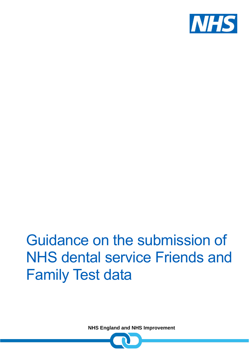

# Guidance on the submission of NHS dental service Friends and Family Test data

**NHS England and NHS Improvement**

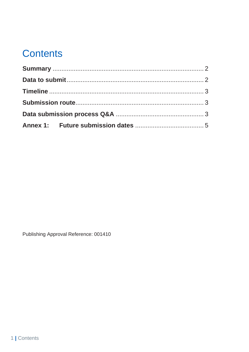# **Contents**

Publishing Approval Reference: 001410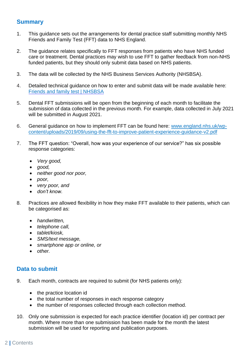# <span id="page-2-0"></span>**Summary**

- 1. This guidance sets out the arrangements for dental practice staff submitting monthly NHS Friends and Family Test (FFT) data to NHS England.
- 2. The guidance relates specifically to FFT responses from patients who have NHS funded care or treatment. Dental practices may wish to use FFT to gather feedback from non-NHS funded patients, but they should only submit data based on NHS patients.
- 3. The data will be collected by the NHS Business Services Authority (NHSBSA).
- 4. Detailed technical guidance on how to enter and submit data will be made available here: [Friends and family test | NHSBSA](https://www.nhsbsa.nhs.uk/activity-processing-and-payment-services/friends-and-family-test)
- 5. Dental FFT submissions will be open from the beginning of each month to facilitate the submission of data collected in the previous month. For example, data collected in July 2021 will be submitted in August 2021.
- 6. General guidance on how to implement FFT can be found here: [www.england.nhs.uk/wp](http://www.england.nhs.uk/wp-content/uploads/2019/09/using-the-fft-to-improve-patient-experience-guidance-v2.pdf)[content/uploads/2019/09/using-the-fft-to-improve-patient-experience-guidance-v2.pdf](http://www.england.nhs.uk/wp-content/uploads/2019/09/using-the-fft-to-improve-patient-experience-guidance-v2.pdf)
- 7. The FFT question: "Overall, how was your experience of our service?" has six possible response categories:
	- *Very good,*
	- *good,*
	- *neither good nor poor,*
	- *poor,*
	- *very poor, and*
	- *don't know.*
- 8. Practices are allowed flexibility in how they make FFT available to their patients, which can be categorised as:
	- *handwritten,*
	- *telephone call,*
	- *tablet/kiosk,*
	- *SMS/text message,*
	- *smartphone app or online, or*
	- *other.*

### <span id="page-2-1"></span>**Data to submit**

- 9. Each month, contracts are required to submit (for NHS patients only):
	- the practice location id
	- the total number of responses in each response category
	- the number of responses collected through each collection method.
- 10. Only one submission is expected for each practice identifier (location id) per contract per month. Where more than one submission has been made for the month the latest submission will be used for reporting and publication purposes.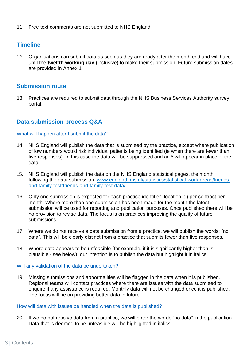11. Free text comments are not submitted to NHS England.

### <span id="page-3-0"></span>**Timeline**

12. Organisations can submit data as soon as they are ready after the month end and will have until the **twelfth working day** (inclusive) to make their submission. Future submission dates are provided in Annex 1.

#### <span id="page-3-1"></span>**Submission route**

13. Practices are required to submit data through the NHS Business Services Authority survey portal.

# <span id="page-3-2"></span>**Data submission process Q&A**

#### What will happen after I submit the data?

- 14. NHS England will publish the data that is submitted by the practice, except where publication of low numbers would risk individual patients being identified (ie when there are fewer than five responses). In this case the data will be suppressed and an \* will appear in place of the data.
- 15. NHS England will publish the data on the NHS England statistical pages, the month following the data submission: [www.england.nhs.uk/statistics/statistical-work-areas/friends](http://www.england.nhs.uk/statistics/statistical-work-areas/friends-and-family-test/friends-and-family-test-data/)[and-family-test/friends-and-family-test-data/](http://www.england.nhs.uk/statistics/statistical-work-areas/friends-and-family-test/friends-and-family-test-data/).
- 16. Only one submission is expected for each practice identifier (location id) per contract per month. Where more than one submission has been made for the month the latest submission will be used for reporting and publication purposes. Once published there will be no provision to revise data. The focus is on practices improving the quality of future submissions.
- 17. Where we do not receive a data submission from a practice, we will publish the words: "no data". This will be clearly distinct from a practice that submits fewer than five responses.
- 18. Where data appears to be unfeasible (for example, if it is significantly higher than is plausible - see below), our intention is to publish the data but highlight it in italics.

#### Will any validation of the data be undertaken?

19. Missing submissions and abnormalities will be flagged in the data when it is published. Regional teams will contact practices where there are issues with the data submitted to enquire if any assistance is required. Monthly data will not be changed once it is published. The focus will be on providing better data in future.

#### How will data with issues be handled when the data is published?

20. If we do not receive data from a practice, we will enter the words "no data" in the publication. Data that is deemed to be unfeasible will be highlighted in italics.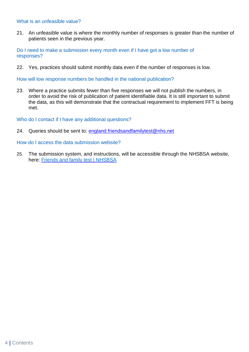#### What is an unfeasible value?

21. An unfeasible value is where the monthly number of responses is greater than the number of patients seen in the previous year.

Do I need to make a submission every month even if I have got a low number of responses?

22. Yes, practices should submit monthly data even if the number of responses is low.

How will low response numbers be handled in the national publication?

23. Where a practice submits fewer than five responses we will not publish the numbers, in order to avoid the risk of publication of patient identifiable data. It is still important to submit the data, as this will demonstrate that the contractual requirement to implement FFT is being met.

Who do I contact if I have any additional questions?

24. Queries should be sent to: [england.friendsandfamilytest@nhs.net](mailto:england.friendsandfamilytest@nhs.net)

How do I access the data submission website?

25. The submission system, and instructions, will be accessible through the NHSBSA website, here: [Friends and family test | NHSBSA](https://www.nhsbsa.nhs.uk/activity-processing-and-payment-services/friends-and-family-test)